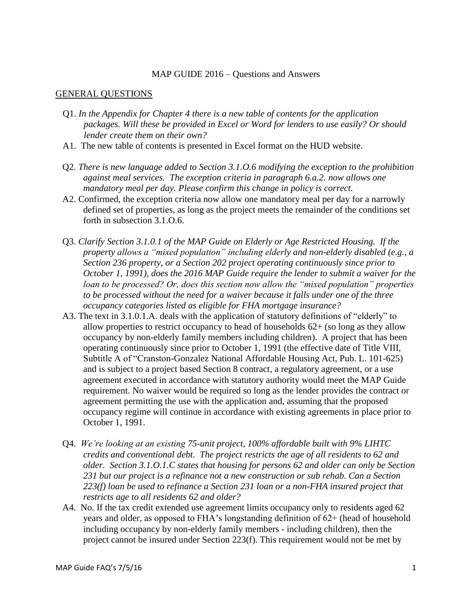#### MAP GUIDE 2016 – Questions and Answers

#### GENERAL QUESTIONS

- Q1. *In the Appendix for Chapter 4 there is a new table of contents for the application packages. Will these be provided in Excel or Word for lenders to use easily? Or should lender create them on their own?*
- A1. The new table of contents is presented in Excel format on the HUD website.
- Q2. *There is new language added to Section 3.1.O.6 modifying the exception to the prohibition against meal services. The exception criteria in paragraph 6.a.2. now allows one mandatory meal per day. Please confirm this change in policy is correct.*
- A2. Confirmed, the exception criteria now allow one mandatory meal per day for a narrowly defined set of properties, as long as the project meets the remainder of the conditions set forth in subsection 3.1.O.6.
- Q3. *Clarify Section 3.1.0.1 of the MAP Guide on Elderly or Age Restricted Housing. If the property allows a "mixed population" including elderly and non-elderly disabled (e.g., a Section 236 property, or a Section 202 project operating continuously since prior to October 1, 1991), does the 2016 MAP Guide require the lender to submit a waiver for the loan to be processed? Or, does this section now allow the "mixed population" properties to be processed without the need for a waiver because it falls under one of the three occupancy categories listed as eligible for FHA mortgage insurance?*
- A3. The text in 3.1.0.1.A. deals with the application of statutory definitions of "elderly" to allow properties to restrict occupancy to head of households 62+ (so long as they allow occupancy by non-elderly family members including children). A project that has been operating continuously since prior to October 1, 1991 (the effective date of Title VIII, Subtitle A of "Cranston-Gonzalez National Affordable Housing Act, Pub. L. 101-625) and is subject to a project based Section 8 contract, a regulatory agreement, or a use agreement executed in accordance with statutory authority would meet the MAP Guide requirement. No waiver would be required so long as the lender provides the contract or agreement permitting the use with the application and, assuming that the proposed occupancy regime will continue in accordance with existing agreements in place prior to October 1, 1991.
- Q4. *We're looking at an existing 75-unit project, 100% affordable built with 9% LIHTC credits and conventional debt. The project restricts the age of all residents to 62 and older. Section 3.1.O.1.C states that housing for persons 62 and older can only be Section 231 but our project is a refinance not a new construction or sub rehab. Can a Section 223(f) loan be used to refinance a Section 231 loan or a non-FHA insured project that restricts age to all residents 62 and older?*
- A4. No. If the tax credit extended use agreement limits occupancy only to residents aged 62 years and older, as opposed to FHA's longstanding definition of 62+ (head of household including occupancy by non-elderly family members - including children), then the project cannot be insured under Section 223(f). This requirement would not be met by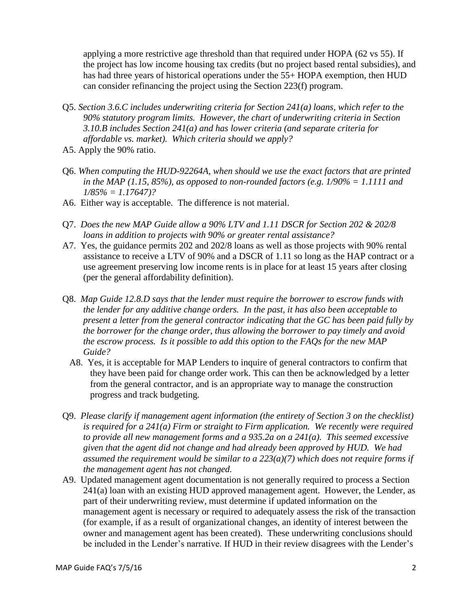applying a more restrictive age threshold than that required under HOPA (62 vs 55). If the project has low income housing tax credits (but no project based rental subsidies), and has had three years of historical operations under the 55+ HOPA exemption, then HUD can consider refinancing the project using the Section 223(f) program.

- Q5. *Section 3.6.C includes underwriting criteria for Section 241(a) loans, which refer to the 90% statutory program limits. However, the chart of underwriting criteria in Section 3.10.B includes Section 241(a) and has lower criteria (and separate criteria for affordable vs. market). Which criteria should we apply?*
- A5. Apply the 90% ratio.
- Q6. *When computing the HUD-92264A, when should we use the exact factors that are printed in the MAP (1.15, 85%), as opposed to non-rounded factors (e.g. 1/90% = 1.1111 and 1/85% = 1.17647)?*
- A6. Either way is acceptable. The difference is not material.
- Q7. *Does the new MAP Guide allow a 90% LTV and 1.11 DSCR for Section 202 & 202/8 loans in addition to projects with 90% or greater rental assistance?*
- A7. Yes, the guidance permits 202 and 202/8 loans as well as those projects with 90% rental assistance to receive a LTV of 90% and a DSCR of 1.11 so long as the HAP contract or a use agreement preserving low income rents is in place for at least 15 years after closing (per the general affordability definition).
- Q8. *Map Guide 12.8.D says that the lender must require the borrower to escrow funds with the lender for any additive change orders. In the past, it has also been acceptable to present a letter from the general contractor indicating that the GC has been paid fully by the borrower for the change order, thus allowing the borrower to pay timely and avoid the escrow process. Is it possible to add this option to the FAQs for the new MAP Guide?*
	- A8. Yes, it is acceptable for MAP Lenders to inquire of general contractors to confirm that they have been paid for change order work. This can then be acknowledged by a letter from the general contractor, and is an appropriate way to manage the construction progress and track budgeting.
- Q9. *Please clarify if management agent information (the entirety of Section 3 on the checklist) is required for a 241(a) Firm or straight to Firm application. We recently were required to provide all new management forms and a 935.2a on a 241(a). This seemed excessive given that the agent did not change and had already been approved by HUD. We had assumed the requirement would be similar to a 223(a)(7) which does not require forms if the management agent has not changed.*
- A9. Updated management agent documentation is not generally required to process a Section 241(a) loan with an existing HUD approved management agent. However, the Lender, as part of their underwriting review, must determine if updated information on the management agent is necessary or required to adequately assess the risk of the transaction (for example, if as a result of organizational changes, an identity of interest between the owner and management agent has been created). These underwriting conclusions should be included in the Lender's narrative. If HUD in their review disagrees with the Lender's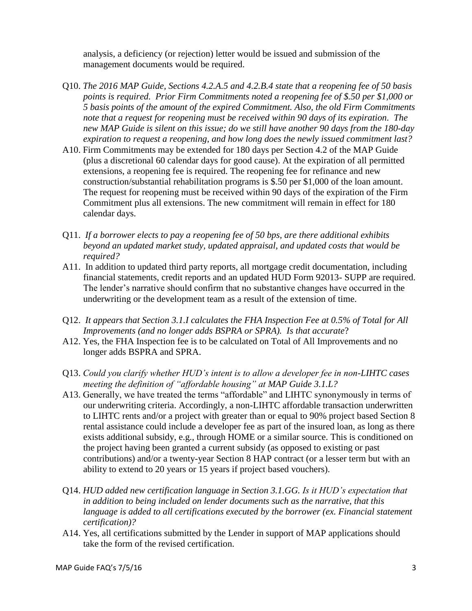analysis, a deficiency (or rejection) letter would be issued and submission of the management documents would be required.

- Q10. *The 2016 MAP Guide, Sections 4.2.A.5 and 4.2.B.4 state that a reopening fee of 50 basis points is required. Prior Firm Commitments noted a reopening fee of \$.50 per \$1,000 or 5 basis points of the amount of the expired Commitment. Also, the old Firm Commitments note that a request for reopening must be received within 90 days of its expiration. The new MAP Guide is silent on this issue; do we still have another 90 days from the 180-day expiration to request a reopening, and how long does the newly issued commitment last?*
- A10. Firm Commitments may be extended for 180 days per Section 4.2 of the MAP Guide (plus a discretional 60 calendar days for good cause). At the expiration of all permitted extensions, a reopening fee is required. The reopening fee for refinance and new construction/substantial rehabilitation programs is \$.50 per \$1,000 of the loan amount. The request for reopening must be received within 90 days of the expiration of the Firm Commitment plus all extensions. The new commitment will remain in effect for 180 calendar days.
- Q11. *If a borrower elects to pay a reopening fee of 50 bps, are there additional exhibits beyond an updated market study, updated appraisal, and updated costs that would be required?*
- A11. In addition to updated third party reports, all mortgage credit documentation, including financial statements, credit reports and an updated HUD Form 92013- SUPP are required. The lender's narrative should confirm that no substantive changes have occurred in the underwriting or the development team as a result of the extension of time.
- Q12. *It appears that Section 3.1.I calculates the FHA Inspection Fee at 0.5% of Total for All Improvements (and no longer adds BSPRA or SPRA). Is that accurate*?
- A12. Yes, the FHA Inspection fee is to be calculated on Total of All Improvements and no longer adds BSPRA and SPRA.
- Q13. *Could you clarify whether HUD's intent is to allow a developer fee in non-LIHTC cases meeting the definition of "affordable housing" at MAP Guide 3.1.L?*
- A13. Generally, we have treated the terms "affordable" and LIHTC synonymously in terms of our underwriting criteria. Accordingly, a non-LIHTC affordable transaction underwritten to LIHTC rents and/or a project with greater than or equal to 90% project based Section 8 rental assistance could include a developer fee as part of the insured loan, as long as there exists additional subsidy, e.g., through HOME or a similar source. This is conditioned on the project having been granted a current subsidy (as opposed to existing or past contributions) and/or a twenty-year Section 8 HAP contract (or a lesser term but with an ability to extend to 20 years or 15 years if project based vouchers).
- Q14. *HUD added new certification language in Section 3.1.GG. Is it HUD's expectation that in addition to being included on lender documents such as the narrative, that this language is added to all certifications executed by the borrower (ex. Financial statement certification)?*
- A14. Yes, all certifications submitted by the Lender in support of MAP applications should take the form of the revised certification.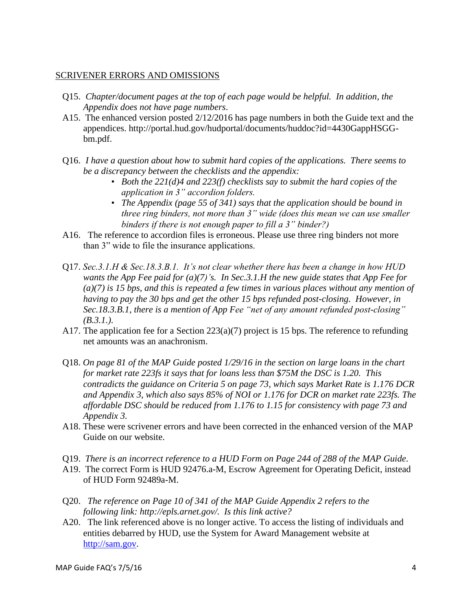## SCRIVENER ERRORS AND OMISSIONS

- Q15. *Chapter/document pages at the top of each page would be helpful. In addition, the Appendix does not have page numbers*.
- A15. The enhanced version posted 2/12/2016 has page numbers in both the Guide text and the appendices. http://portal.hud.gov/hudportal/documents/huddoc?id=4430GappHSGGbm.pdf.
- Q16. *I have a question about how to submit hard copies of the applications. There seems to be a discrepancy between the checklists and the appendix:*
	- *• Both the 221(d)4 and 223(f) checklists say to submit the hard copies of the application in 3" accordion folders.*
	- *• The Appendix (page 55 of 341) says that the application should be bound in three ring binders, not more than 3" wide (does this mean we can use smaller binders if there is not enough paper to fill a 3" binder?)*
- A16. The reference to accordion files is erroneous. Please use three ring binders not more than 3" wide to file the insurance applications.
- Q17. *Sec.3.1.H & Sec.18.3.B.1. It's not clear whether there has been a change in how HUD wants the App Fee paid for (a)(7)'s. In Sec.3.1.H the new guide states that App Fee for (a)(7) is 15 bps, and this is repeated a few times in various places without any mention of having to pay the 30 bps and get the other 15 bps refunded post-closing. However, in Sec.18.3.B.1, there is a mention of App Fee "net of any amount refunded post-closing" (B.3.1.).*
- A17. The application fee for a Section 223(a)(7) project is 15 bps. The reference to refunding net amounts was an anachronism.
- Q18. *On page 81 of the MAP Guide posted 1/29/16 in the section on large loans in the chart for market rate 223fs it says that for loans less than \$75M the DSC is 1.20. This contradicts the guidance on Criteria 5 on page 73, which says Market Rate is 1.176 DCR and Appendix 3, which also says 85% of NOI or 1.176 for DCR on market rate 223fs. The affordable DSC should be reduced from 1.176 to 1.15 for consistency with page 73 and Appendix 3.*
- A18. These were scrivener errors and have been corrected in the enhanced version of the MAP Guide on our website.
- Q19. *There is an incorrect reference to a HUD Form on Page 244 of 288 of the MAP Guide*.
- A19. The correct Form is HUD 92476.a-M, Escrow Agreement for Operating Deficit, instead of HUD Form 92489a-M.
- Q20. *The reference on Page 10 of 341 of the MAP Guide Appendix 2 refers to the following link: http://epls.arnet.gov/. Is this link active?*
- A20. The link referenced above is no longer active. To access the listing of individuals and entities debarred by HUD, use the System for Award Management website at [http://sam.gov.](http://sam.gov/)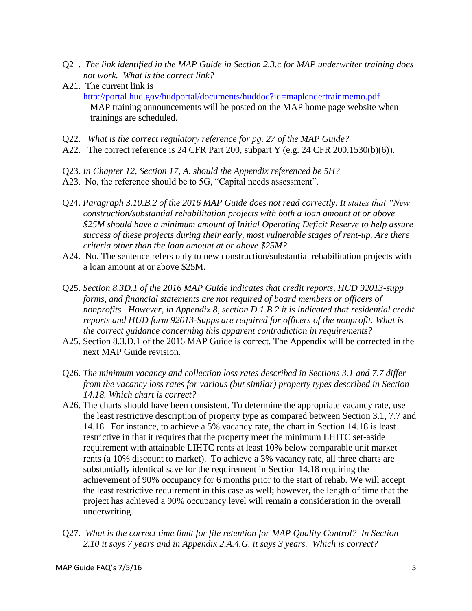- Q21. *The link identified in the MAP Guide in Section 2.3.c for MAP underwriter training does not work. What is the correct link?*
- A21. The current link is <http://portal.hud.gov/hudportal/documents/huddoc?id=maplendertrainmemo.pdf> MAP training announcements will be posted on the MAP home page website when trainings are scheduled.
- Q22. *What is the correct regulatory reference for pg. 27 of the MAP Guide?*
- A22. The correct reference is 24 CFR Part 200, subpart Y (e.g. 24 CFR 200.1530(b)(6)).
- Q23. *In Chapter 12, Section 17, A. should the Appendix referenced be 5H?*
- A23. No, the reference should be to 5G, "Capital needs assessment".
- Q24. *Paragraph 3.10.B.2 of the 2016 MAP Guide does not read correctly. It states that "New construction/substantial rehabilitation projects with both a loan amount at or above \$25M should have a minimum amount of Initial Operating Deficit Reserve to help assure success of these projects during their early, most vulnerable stages of rent-up. Are there criteria other than the loan amount at or above \$25M?*
- A24. No. The sentence refers only to new construction/substantial rehabilitation projects with a loan amount at or above \$25M.
- Q25. *Section 8.3D.1 of the 2016 MAP Guide indicates that credit reports, HUD 92013-supp forms, and financial statements are not required of board members or officers of nonprofits. However, in Appendix 8, section D.1.B.2 it is indicated that residential credit reports and HUD form 92013-Supps are required for officers of the nonprofit. What is the correct guidance concerning this apparent contradiction in requirements?*
- A25. Section 8.3.D.1 of the 2016 MAP Guide is correct. The Appendix will be corrected in the next MAP Guide revision.
- Q26. *The minimum vacancy and collection loss rates described in Sections 3.1 and 7.7 differ from the vacancy loss rates for various (but similar) property types described in Section 14.18. Which chart is correct?*
- A26. The charts should have been consistent. To determine the appropriate vacancy rate, use the least restrictive description of property type as compared between Section 3.1, 7.7 and 14.18. For instance, to achieve a 5% vacancy rate, the chart in Section 14.18 is least restrictive in that it requires that the property meet the minimum LHITC set-aside requirement with attainable LIHTC rents at least 10% below comparable unit market rents (a 10% discount to market). To achieve a 3% vacancy rate, all three charts are substantially identical save for the requirement in Section 14.18 requiring the achievement of 90% occupancy for 6 months prior to the start of rehab. We will accept the least restrictive requirement in this case as well; however, the length of time that the project has achieved a 90% occupancy level will remain a consideration in the overall underwriting.
- Q27. *What is the correct time limit for file retention for MAP Quality Control? In Section 2.10 it says 7 years and in Appendix 2.A.4.G. it says 3 years. Which is correct?*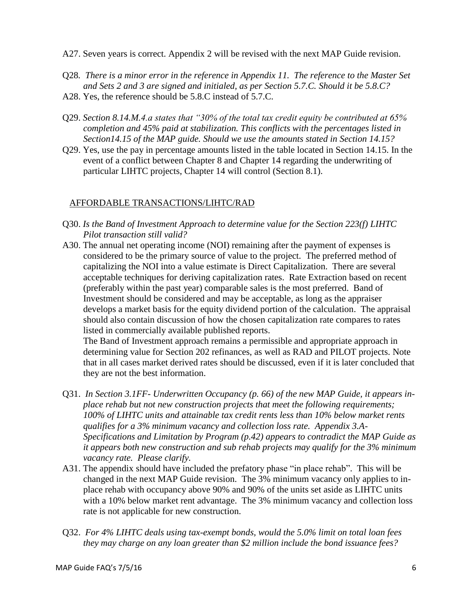- A27. Seven years is correct. Appendix 2 will be revised with the next MAP Guide revision.
- Q28*. There is a minor error in the reference in Appendix 11. The reference to the Master Set and Sets 2 and 3 are signed and initialed, as per Section 5.7.C. Should it be 5.8.C?*
- A28. Yes, the reference should be 5.8.C instead of 5.7.C.
- Q29. *Section 8.14.M.4.a states that "30% of the total tax credit equity be contributed at 65% completion and 45% paid at stabilization. This conflicts with the percentages listed in Section14.15 of the MAP guide. Should we use the amounts stated in Section 14.15?*
- Q29. Yes, use the pay in percentage amounts listed in the table located in Section 14.15. In the event of a conflict between Chapter 8 and Chapter 14 regarding the underwriting of particular LIHTC projects, Chapter 14 will control (Section 8.1).

# AFFORDABLE TRANSACTIONS/LIHTC/RAD

- Q30. *Is the Band of Investment Approach to determine value for the Section 223(f) LIHTC Pilot transaction still valid?*
- A30. The annual net operating income (NOI) remaining after the payment of expenses is considered to be the primary source of value to the project. The preferred method of capitalizing the NOI into a value estimate is Direct Capitalization. There are several acceptable techniques for deriving capitalization rates. Rate Extraction based on recent (preferably within the past year) comparable sales is the most preferred. Band of Investment should be considered and may be acceptable, as long as the appraiser develops a market basis for the equity dividend portion of the calculation. The appraisal should also contain discussion of how the chosen capitalization rate compares to rates listed in commercially available published reports.

The Band of Investment approach remains a permissible and appropriate approach in determining value for Section 202 refinances, as well as RAD and PILOT projects. Note that in all cases market derived rates should be discussed, even if it is later concluded that they are not the best information.

- Q31. *In Section 3.1FF- Underwritten Occupancy (p. 66) of the new MAP Guide, it appears inplace rehab but not new construction projects that meet the following requirements; 100% of LIHTC units and attainable tax credit rents less than 10% below market rents qualifies for a 3% minimum vacancy and collection loss rate. Appendix 3.A-Specifications and Limitation by Program (p.42) appears to contradict the MAP Guide as it appears both new construction and sub rehab projects may qualify for the 3% minimum vacancy rate. Please clarify.*
- A31. The appendix should have included the prefatory phase "in place rehab". This will be changed in the next MAP Guide revision. The 3% minimum vacancy only applies to inplace rehab with occupancy above 90% and 90% of the units set aside as LIHTC units with a 10% below market rent advantage. The 3% minimum vacancy and collection loss rate is not applicable for new construction.
- Q32. *For 4% LIHTC deals using tax-exempt bonds, would the 5.0% limit on total loan fees they may charge on any loan greater than \$2 million include the bond issuance fees?*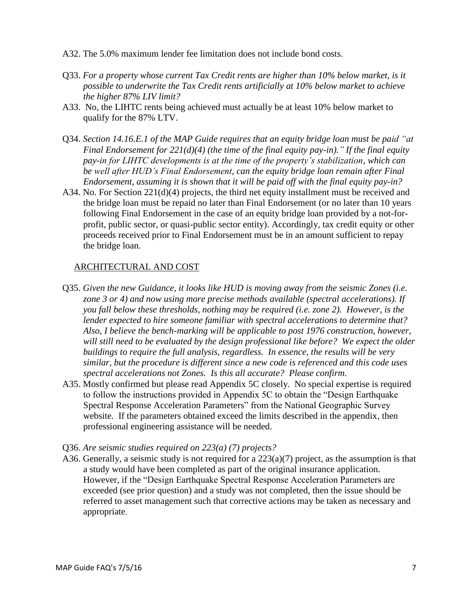- A32. The 5.0% maximum lender fee limitation does not include bond costs.
- Q33. *For a property whose current Tax Credit rents are higher than 10% below market, is it possible to underwrite the Tax Credit rents artificially at 10% below market to achieve the higher 87% LIV limit?*
- A33. No, the LIHTC rents being achieved must actually be at least 10% below market to qualify for the 87% LTV.
- Q34. *Section 14.16.E.1 of the MAP Guide requires that an equity bridge loan must be paid "at Final Endorsement for 221(d)(4) (the time of the final equity pay-in)." If the final equity pay-in for LIHTC developments is at the time of the property's stabilization, which can be well after HUD's Final Endorsement, can the equity bridge loan remain after Final Endorsement, assuming it is shown that it will be paid off with the final equity pay-in?*
- A34. No. For Section 221(d)(4) projects, the third net equity installment must be received and the bridge loan must be repaid no later than Final Endorsement (or no later than 10 years following Final Endorsement in the case of an equity bridge loan provided by a not-forprofit, public sector, or quasi-public sector entity). Accordingly, tax credit equity or other proceeds received prior to Final Endorsement must be in an amount sufficient to repay the bridge loan.

## ARCHITECTURAL AND COST

- Q35. *Given the new Guidance, it looks like HUD is moving away from the seismic Zones (i.e. zone 3 or 4) and now using more precise methods available (spectral accelerations). If you fall below these thresholds, nothing may be required (i.e. zone 2). However, is the lender expected to hire someone familiar with spectral accelerations to determine that? Also, I believe the bench-marking will be applicable to post 1976 construction, however, will still need to be evaluated by the design professional like before? We expect the older buildings to require the full analysis, regardless. In essence, the results will be very similar, but the procedure is different since a new code is referenced and this code uses spectral accelerations not Zones. Is this all accurate? Please confirm.*
- A35. Mostly confirmed but please read Appendix 5C closely. No special expertise is required to follow the instructions provided in Appendix 5C to obtain the "Design Earthquake Spectral Response Acceleration Parameters" from the National Geographic Survey website. If the parameters obtained exceed the limits described in the appendix, then professional engineering assistance will be needed.
- Q36. *Are seismic studies required on 223(a) (7) projects?*
- A36. Generally, a seismic study is not required for a 223(a)(7) project, as the assumption is that a study would have been completed as part of the original insurance application. However, if the "Design Earthquake Spectral Response Acceleration Parameters are exceeded (see prior question) and a study was not completed, then the issue should be referred to asset management such that corrective actions may be taken as necessary and appropriate.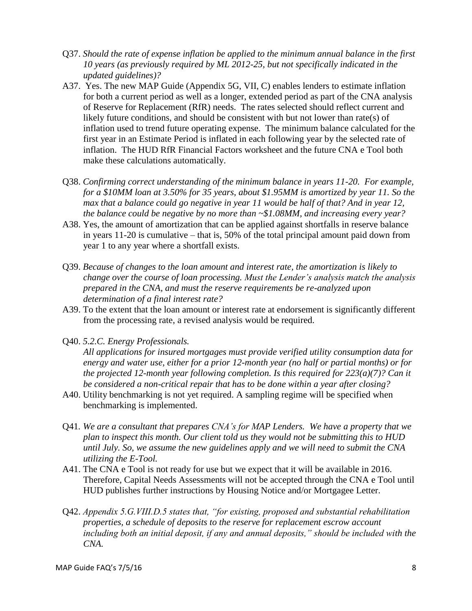- Q37. *Should the rate of expense inflation be applied to the minimum annual balance in the first 10 years (as previously required by ML 2012-25, but not specifically indicated in the updated guidelines)?*
- A37. Yes. The new MAP Guide (Appendix 5G, VII, C) enables lenders to estimate inflation for both a current period as well as a longer, extended period as part of the CNA analysis of Reserve for Replacement (RfR) needs. The rates selected should reflect current and likely future conditions, and should be consistent with but not lower than rate(s) of inflation used to trend future operating expense. The minimum balance calculated for the first year in an Estimate Period is inflated in each following year by the selected rate of inflation. The HUD RfR Financial Factors worksheet and the future CNA e Tool both make these calculations automatically.
- Q38. *Confirming correct understanding of the minimum balance in years 11-20. For example, for a \$10MM loan at 3.50% for 35 years, about \$1.95MM is amortized by year 11. So the max that a balance could go negative in year 11 would be half of that? And in year 12, the balance could be negative by no more than ~\$1.08MM, and increasing every year?*
- A38. Yes, the amount of amortization that can be applied against shortfalls in reserve balance in years 11-20 is cumulative – that is, 50% of the total principal amount paid down from year 1 to any year where a shortfall exists.
- Q39. *Because of changes to the loan amount and interest rate, the amortization is likely to change over the course of loan processing. Must the Lender's analysis match the analysis prepared in the CNA, and must the reserve requirements be re-analyzed upon determination of a final interest rate?*
- A39. To the extent that the loan amount or interest rate at endorsement is significantly different from the processing rate, a revised analysis would be required.
- Q40. *5.2.C. Energy Professionals.*

*All applications for insured mortgages must provide verified utility consumption data for energy and water use, either for a prior 12-month year (no half or partial months) or for the projected 12-month year following completion. Is this required for 223(a)(7)? Can it be considered a non-critical repair that has to be done within a year after closing?*

- A40. Utility benchmarking is not yet required. A sampling regime will be specified when benchmarking is implemented.
- Q41*. We are a consultant that prepares CNA's for MAP Lenders. We have a property that we plan to inspect this month. Our client told us they would not be submitting this to HUD until July. So, we assume the new guidelines apply and we will need to submit the CNA utilizing the E-Tool.*
- A41. The CNA e Tool is not ready for use but we expect that it will be available in 2016. Therefore, Capital Needs Assessments will not be accepted through the CNA e Tool until HUD publishes further instructions by Housing Notice and/or Mortgagee Letter.
- Q42. *Appendix 5.G.VIII.D.5 states that, "for existing, proposed and substantial rehabilitation properties, a schedule of deposits to the reserve for replacement escrow account including both an initial deposit, if any and annual deposits," should be included with the CNA.*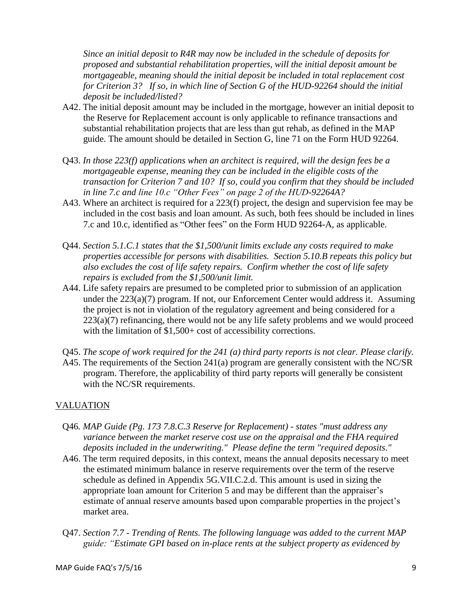*Since an initial deposit to R4R may now be included in the schedule of deposits for proposed and substantial rehabilitation properties, will the initial deposit amount be mortgageable, meaning should the initial deposit be included in total replacement cost for Criterion 3? If so, in which line of Section G of the HUD-92264 should the initial deposit be included/listed?*

- A42. The initial deposit amount may be included in the mortgage, however an initial deposit to the Reserve for Replacement account is only applicable to refinance transactions and substantial rehabilitation projects that are less than gut rehab, as defined in the MAP guide. The amount should be detailed in Section G, line 71 on the Form HUD 92264.
- Q43. *In those 223(f) applications when an architect is required, will the design fees be a mortgageable expense, meaning they can be included in the eligible costs of the transaction for Criterion 7 and 10? If so, could you confirm that they should be included in line 7.c and line 10.c "Other Fees" on page 2 of the HUD-92264A?*
- A43. Where an architect is required for a 223(f) project, the design and supervision fee may be included in the cost basis and loan amount. As such, both fees should be included in lines 7.c and 10.c, identified as "Other fees" on the Form HUD 92264-A, as applicable.
- Q44. *Section 5.1.C.1 states that the \$1,500/unit limits exclude any costs required to make properties accessible for persons with disabilities. Section 5.10.B repeats this policy but also excludes the cost of life safety repairs. Confirm whether the cost of life safety repairs is excluded from the \$1,500/unit limit.*
- A44. Life safety repairs are presumed to be completed prior to submission of an application under the 223(a)(7) program. If not, our Enforcement Center would address it. Assuming the project is not in violation of the regulatory agreement and being considered for a  $223(a)(7)$  refinancing, there would not be any life safety problems and we would proceed with the limitation of \$1,500+ cost of accessibility corrections.
- Q45. *The scope of work required for the 241 (a) third party reports is not clear. Please clarify.*
- A45. The requirements of the Section 241(a) program are generally consistent with the NC/SR program. Therefore, the applicability of third party reports will generally be consistent with the NC/SR requirements.

# VALUATION

- Q46*. MAP Guide (Pg. 173 7.8.C.3 Reserve for Replacement) - states "must address any variance between the market reserve cost use on the appraisal and the FHA required deposits included in the underwriting." Please define the term "required deposits."*
- A46. The term required deposits, in this context, means the annual deposits necessary to meet the estimated minimum balance in reserve requirements over the term of the reserve schedule as defined in Appendix 5G.VII.C.2.d. This amount is used in sizing the appropriate loan amount for Criterion 5 and may be different than the appraiser's estimate of annual reserve amounts based upon comparable properties in the project's market area.
- Q47. *Section 7.7 - Trending of Rents. The following language was added to the current MAP guide: "Estimate GPI based on in-place rents at the subject property as evidenced by*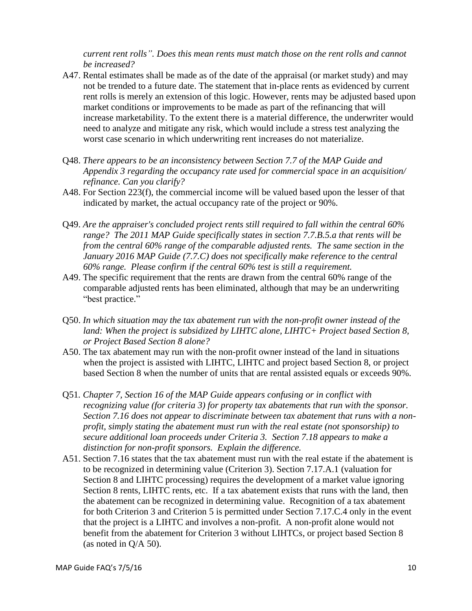*current rent rolls". Does this mean rents must match those on the rent rolls and cannot be increased?*

- A47. Rental estimates shall be made as of the date of the appraisal (or market study) and may not be trended to a future date. The statement that in-place rents as evidenced by current rent rolls is merely an extension of this logic. However, rents may be adjusted based upon market conditions or improvements to be made as part of the refinancing that will increase marketability. To the extent there is a material difference, the underwriter would need to analyze and mitigate any risk, which would include a stress test analyzing the worst case scenario in which underwriting rent increases do not materialize.
- Q48. *There appears to be an inconsistency between Section 7.7 of the MAP Guide and Appendix 3 regarding the occupancy rate used for commercial space in an acquisition/ refinance. Can you clarify?*
- A48. For Section 223(f), the commercial income will be valued based upon the lesser of that indicated by market, the actual occupancy rate of the project or 90%.
- Q49. *Are the appraiser's concluded project rents still required to fall within the central 60% range? The 2011 MAP Guide specifically states in section 7.7.B.5.a that rents will be from the central 60% range of the comparable adjusted rents. The same section in the January 2016 MAP Guide (7.7.C) does not specifically make reference to the central 60% range. Please confirm if the central 60% test is still a requirement.*
- A49. The specific requirement that the rents are drawn from the central 60% range of the comparable adjusted rents has been eliminated, although that may be an underwriting "best practice."
- Q50. *In which situation may the tax abatement run with the non-profit owner instead of the*  land: When the project is subsidized by LIHTC alone, LIHTC+ Project based Section 8, *or Project Based Section 8 alone?*
- A50. The tax abatement may run with the non-profit owner instead of the land in situations when the project is assisted with LIHTC, LIHTC and project based Section 8, or project based Section 8 when the number of units that are rental assisted equals or exceeds 90%.
- Q51*. Chapter 7, Section 16 of the MAP Guide appears confusing or in conflict with recognizing value (for criteria 3) for property tax abatements that run with the sponsor. Section 7.16 does not appear to discriminate between tax abatement that runs with a nonprofit, simply stating the abatement must run with the real estate (not sponsorship) to secure additional loan proceeds under Criteria 3. Section 7.18 appears to make a distinction for non-profit sponsors. Explain the difference.*
- A51. Section 7.16 states that the tax abatement must run with the real estate if the abatement is to be recognized in determining value (Criterion 3). Section 7.17.A.1 (valuation for Section 8 and LIHTC processing) requires the development of a market value ignoring Section 8 rents, LIHTC rents, etc. If a tax abatement exists that runs with the land, then the abatement can be recognized in determining value. Recognition of a tax abatement for both Criterion 3 and Criterion 5 is permitted under Section 7.17.C.4 only in the event that the project is a LIHTC and involves a non-profit. A non-profit alone would not benefit from the abatement for Criterion 3 without LIHTCs, or project based Section 8 (as noted in Q/A 50).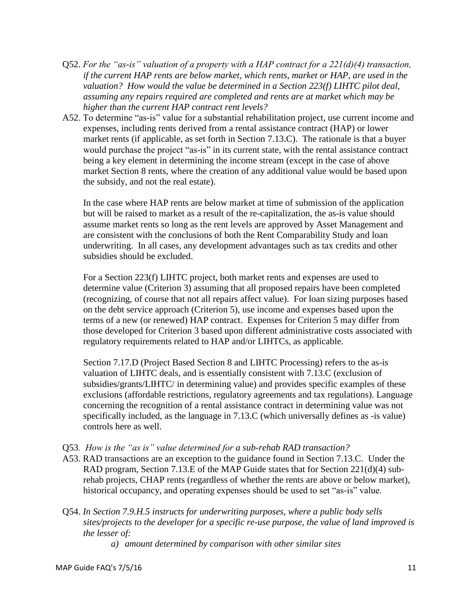- Q52. *For the "as-is" valuation of a property with a HAP contract for a 221(d)(4) transaction, if the current HAP rents are below market, which rents, market or HAP, are used in the valuation? How would the value be determined in a Section 223(f) LIHTC pilot deal, assuming any repairs required are completed and rents are at market which may be higher than the current HAP contract rent levels?*
- A52. To determine "as-is" value for a substantial rehabilitation project, use current income and expenses, including rents derived from a rental assistance contract (HAP) or lower market rents (if applicable, as set forth in Section 7.13.C). The rationale is that a buyer would purchase the project "as-is" in its current state, with the rental assistance contract being a key element in determining the income stream (except in the case of above market Section 8 rents, where the creation of any additional value would be based upon the subsidy, and not the real estate).

In the case where HAP rents are below market at time of submission of the application but will be raised to market as a result of the re-capitalization, the as-is value should assume market rents so long as the rent levels are approved by Asset Management and are consistent with the conclusions of both the Rent Comparability Study and loan underwriting. In all cases, any development advantages such as tax credits and other subsidies should be excluded.

For a Section 223(f) LIHTC project, both market rents and expenses are used to determine value (Criterion 3) assuming that all proposed repairs have been completed (recognizing, of course that not all repairs affect value). For loan sizing purposes based on the debt service approach (Criterion 5), use income and expenses based upon the terms of a new (or renewed) HAP contract. Expenses for Criterion 5 may differ from those developed for Criterion 3 based upon different administrative costs associated with regulatory requirements related to HAP and/or LIHTCs, as applicable.

Section 7.17.D (Project Based Section 8 and LIHTC Processing) refers to the as-is valuation of LIHTC deals, and is essentially consistent with 7.13.C (exclusion of subsidies/grants/LIHTC/ in determining value) and provides specific examples of these exclusions (affordable restrictions, regulatory agreements and tax regulations). Language concerning the recognition of a rental assistance contract in determining value was not specifically included, as the language in 7.13.C (which universally defines as -is value) controls here as well.

- Q53*. How is the "as is" value determined for a sub-rehab RAD transaction?*
- A53. RAD transactions are an exception to the guidance found in Section 7.13.C. Under the RAD program, Section 7.13.E of the MAP Guide states that for Section  $221(d)(4)$  subrehab projects, CHAP rents (regardless of whether the rents are above or below market), historical occupancy, and operating expenses should be used to set "as-is" value.
- Q54. *In Section 7.9.H.5 instructs for underwriting purposes, where a public body sells sites/projects to the developer for a specific re-use purpose, the value of land improved is the lesser of:*

*a) amount determined by comparison with other similar sites*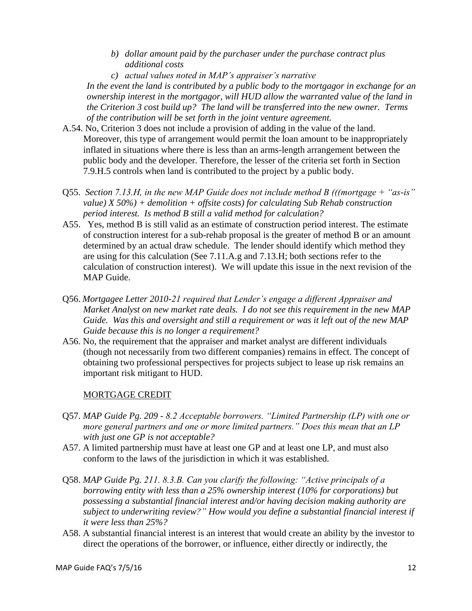- *b) dollar amount paid by the purchaser under the purchase contract plus additional costs*
- *c) actual values noted in MAP's appraiser's narrative*

*In the event the land is contributed by a public body to the mortgagor in exchange for an ownership interest in the mortgagor, will HUD allow the warranted value of the land in the Criterion 3 cost build up? The land will be transferred into the new owner. Terms of the contribution will be set forth in the joint venture agreement.*

- A.54. No, Criterion 3 does not include a provision of adding in the value of the land. Moreover, this type of arrangement would permit the loan amount to be inappropriately inflated in situations where there is less than an arms-length arrangement between the public body and the developer. Therefore, the lesser of the criteria set forth in Section 7.9.H.5 controls when land is contributed to the project by a public body.
- Q55. *Section 7.13.H, in the new MAP Guide does not include method B (((mortgage + "as-is" value) X 50%) + demolition + offsite costs) for calculating Sub Rehab construction period interest. Is method B still a valid method for calculation?*
- A55. Yes, method B is still valid as an estimate of construction period interest. The estimate of construction interest for a sub-rehab proposal is the greater of method B or an amount determined by an actual draw schedule. The lender should identify which method they are using for this calculation (See 7.11.A.g and 7.13.H; both sections refer to the calculation of construction interest). We will update this issue in the next revision of the MAP Guide.
- Q56. *Mortgagee Letter 2010-21 required that Lender's engage a different Appraiser and Market Analyst on new market rate deals. I do not see this requirement in the new MAP Guide. Was this and oversight and still a requirement or was it left out of the new MAP Guide because this is no longer a requirement?*
- A56. No, the requirement that the appraiser and market analyst are different individuals (though not necessarily from two different companies) remains in effect. The concept of obtaining two professional perspectives for projects subject to lease up risk remains an important risk mitigant to HUD.

# MORTGAGE CREDIT

- Q57. *MAP Guide Pg. 209 - 8.2 Acceptable borrowers. "Limited Partnership (LP) with one or more general partners and one or more limited partners." Does this mean that an LP with just one GP is not acceptable?*
- A57. A limited partnership must have at least one GP and at least one LP, and must also conform to the laws of the jurisdiction in which it was established.
- Q58. *MAP Guide Pg. 211. 8.3.B. Can you clarify the following: "Active principals of a borrowing entity with less than a 25% ownership interest (10% for corporations) but possessing a substantial financial interest and/or having decision making authority are subject to underwriting review?" How would you define a substantial financial interest if it were less than 25%?*
- A58. A substantial financial interest is an interest that would create an ability by the investor to direct the operations of the borrower, or influence, either directly or indirectly, the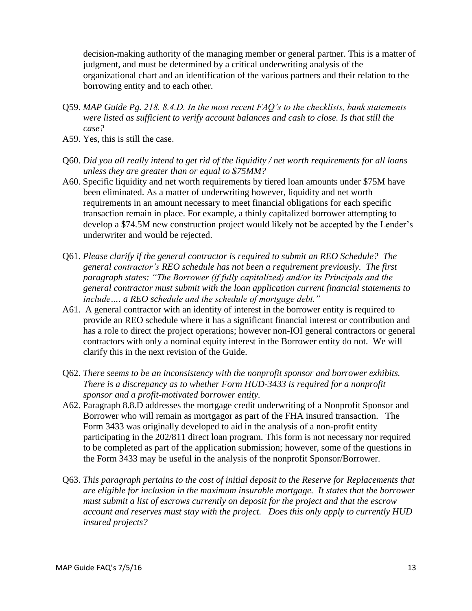decision-making authority of the managing member or general partner. This is a matter of judgment, and must be determined by a critical underwriting analysis of the organizational chart and an identification of the various partners and their relation to the borrowing entity and to each other.

- Q59. *MAP Guide Pg. 218. 8.4.D. In the most recent FAQ's to the checklists, bank statements were listed as sufficient to verify account balances and cash to close. Is that still the case?*
- A59. Yes, this is still the case.
- Q60. *Did you all really intend to get rid of the liquidity / net worth requirements for all loans unless they are greater than or equal to \$75MM?*
- A60. Specific liquidity and net worth requirements by tiered loan amounts under \$75M have been eliminated. As a matter of underwriting however, liquidity and net worth requirements in an amount necessary to meet financial obligations for each specific transaction remain in place. For example, a thinly capitalized borrower attempting to develop a \$74.5M new construction project would likely not be accepted by the Lender's underwriter and would be rejected.
- Q61. *Please clarify if the general contractor is required to submit an REO Schedule? The general contractor's REO schedule has not been a requirement previously. The first paragraph states: "The Borrower (if fully capitalized) and/or its Principals and the general contractor must submit with the loan application current financial statements to include…. a REO schedule and the schedule of mortgage debt."*
- A61. A general contractor with an identity of interest in the borrower entity is required to provide an REO schedule where it has a significant financial interest or contribution and has a role to direct the project operations; however non-IOI general contractors or general contractors with only a nominal equity interest in the Borrower entity do not. We will clarify this in the next revision of the Guide.
- Q62. *There seems to be an inconsistency with the nonprofit sponsor and borrower exhibits. There is a discrepancy as to whether Form HUD-3433 is required for a nonprofit sponsor and a profit-motivated borrower entity.*
- A62. Paragraph 8.8.D addresses the mortgage credit underwriting of a Nonprofit Sponsor and Borrower who will remain as mortgagor as part of the FHA insured transaction. The Form 3433 was originally developed to aid in the analysis of a non-profit entity participating in the 202/811 direct loan program. This form is not necessary nor required to be completed as part of the application submission; however, some of the questions in the Form 3433 may be useful in the analysis of the nonprofit Sponsor/Borrower.
- Q63. *This paragraph pertains to the cost of initial deposit to the Reserve for Replacements that are eligible for inclusion in the maximum insurable mortgage. It states that the borrower must submit a list of escrows currently on deposit for the project and that the escrow account and reserves must stay with the project. Does this only apply to currently HUD insured projects?*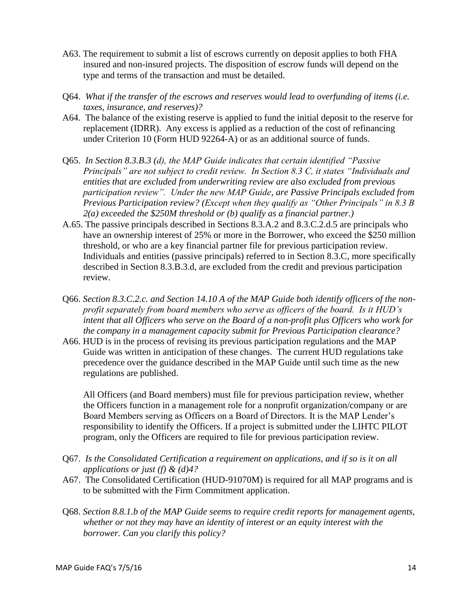- A63. The requirement to submit a list of escrows currently on deposit applies to both FHA insured and non-insured projects. The disposition of escrow funds will depend on the type and terms of the transaction and must be detailed.
- Q64. *What if the transfer of the escrows and reserves would lead to overfunding of items (i.e. taxes, insurance, and reserves)?*
- A64. The balance of the existing reserve is applied to fund the initial deposit to the reserve for replacement (IDRR). Any excess is applied as a reduction of the cost of refinancing under Criterion 10 (Form HUD 92264-A) or as an additional source of funds.
- Q65. *In Section 8.3.B.3 (d), the MAP Guide indicates that certain identified "Passive Principals" are not subject to credit review. In Section 8.3 C, it states "Individuals and entities that are excluded from underwriting review are also excluded from previous participation review". Under the new MAP Guide, are Passive Principals excluded from Previous Participation review? (Except when they qualify as "Other Principals" in 8.3 B 2(a) exceeded the \$250M threshold or (b) qualify as a financial partner.)*
- A.65. The passive principals described in Sections 8.3.A.2 and 8.3.C.2.d.5 are principals who have an ownership interest of 25% or more in the Borrower, who exceed the \$250 million threshold, or who are a key financial partner file for previous participation review. Individuals and entities (passive principals) referred to in Section 8.3.C, more specifically described in Section 8.3.B.3.d, are excluded from the credit and previous participation review.
- Q66. *Section 8.3.C.2.c. and Section 14.10 A of the MAP Guide both identify officers of the nonprofit separately from board members who serve as officers of the board. Is it HUD's intent that all Officers who serve on the Board of a non-profit plus Officers who work for the company in a management capacity submit for Previous Participation clearance?*
- A66. HUD is in the process of revising its previous participation regulations and the MAP Guide was written in anticipation of these changes. The current HUD regulations take precedence over the guidance described in the MAP Guide until such time as the new regulations are published.

All Officers (and Board members) must file for previous participation review, whether the Officers function in a management role for a nonprofit organization/company or are Board Members serving as Officers on a Board of Directors. It is the MAP Lender's responsibility to identify the Officers. If a project is submitted under the LIHTC PILOT program, only the Officers are required to file for previous participation review.

- Q67. *Is the Consolidated Certification a requirement on applications, and if so is it on all applications or just (f) & (d)4?*
- A67. The Consolidated Certification (HUD-91070M) is required for all MAP programs and is to be submitted with the Firm Commitment application.
- Q68. *Section 8.8.1.b of the MAP Guide seems to require credit reports for management agents, whether or not they may have an identity of interest or an equity interest with the borrower. Can you clarify this policy?*